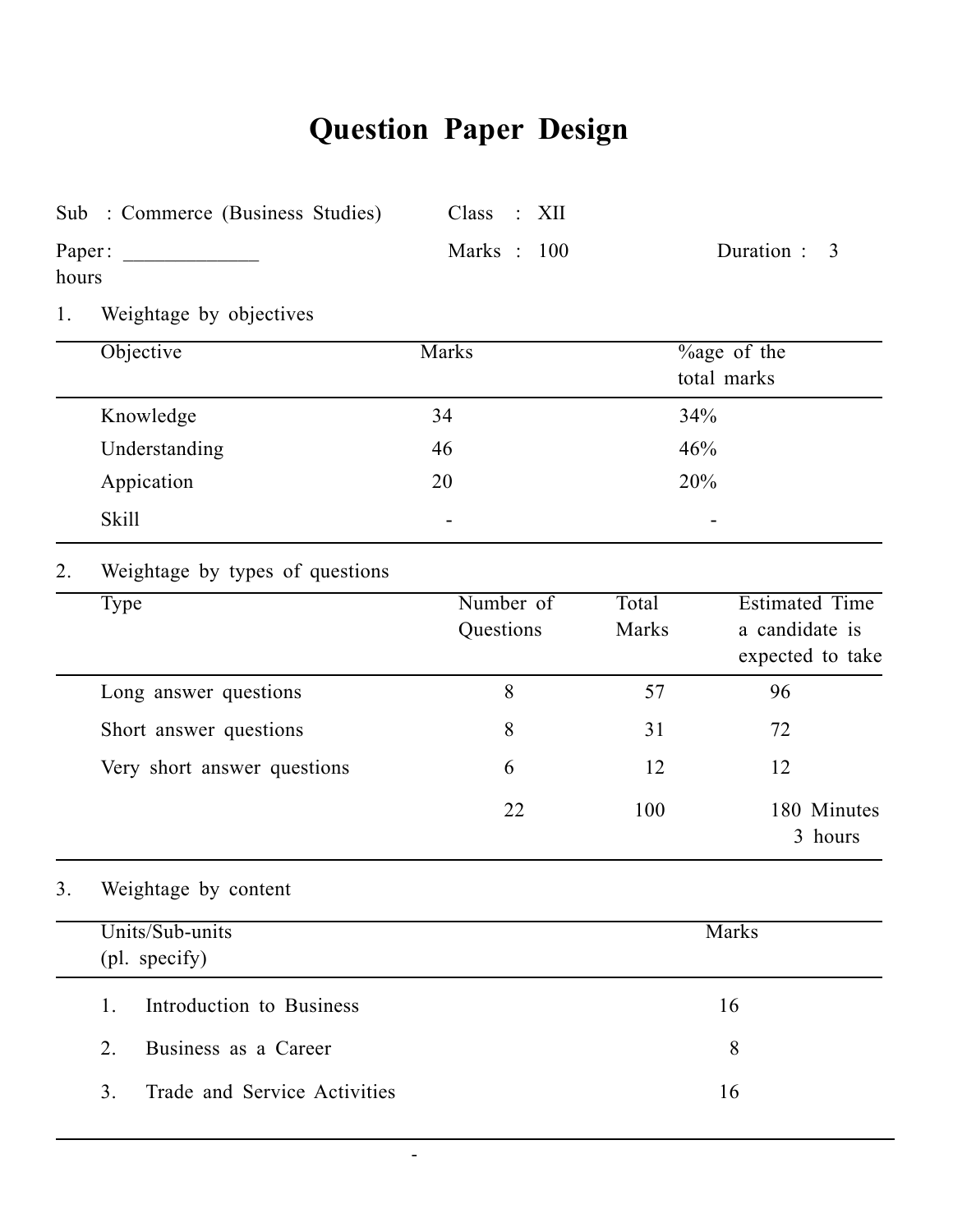# **Question Paper Design**

|       | Sub : Commerce (Business Studies)              | Class<br>XII<br>$\mathbb{R}^2$ |                |                                                             |
|-------|------------------------------------------------|--------------------------------|----------------|-------------------------------------------------------------|
| hours | Paper:                                         | Marks: 100                     |                | Duration:<br>3                                              |
| 1.    | Weightage by objectives                        |                                |                |                                                             |
|       | Objective                                      | Marks                          |                | $\frac{6}{2}$ of the<br>total marks                         |
|       | Knowledge                                      | 34                             | 34%            |                                                             |
|       | Understanding                                  | 46                             | 46%            |                                                             |
|       | Appication                                     | 20                             | 20%            |                                                             |
|       | <b>Skill</b>                                   |                                |                |                                                             |
| 2.    | Weightage by types of questions                |                                |                |                                                             |
|       | Type                                           | Number of<br>Questions         | Total<br>Marks | <b>Estimated Time</b><br>a candidate is<br>expected to take |
|       | Long answer questions                          | 8                              | 57             | 96                                                          |
|       | Short answer questions                         | 8                              | 31             | 72                                                          |
|       | Very short answer questions                    | 6                              | 12             | 12                                                          |
|       |                                                | 22                             | 100            | 180 Minutes<br>3 hours                                      |
| 3.    | Weightage by content                           |                                |                |                                                             |
|       | Units/Sub-units<br>(pl. specify)               |                                |                | Marks                                                       |
|       | Introduction to Business<br>1.                 |                                |                | 16                                                          |
|       | Business as a Career<br>2.                     |                                |                | 8                                                           |
|       | 3 <sub>1</sub><br>Trade and Service Activities |                                |                | 16                                                          |

-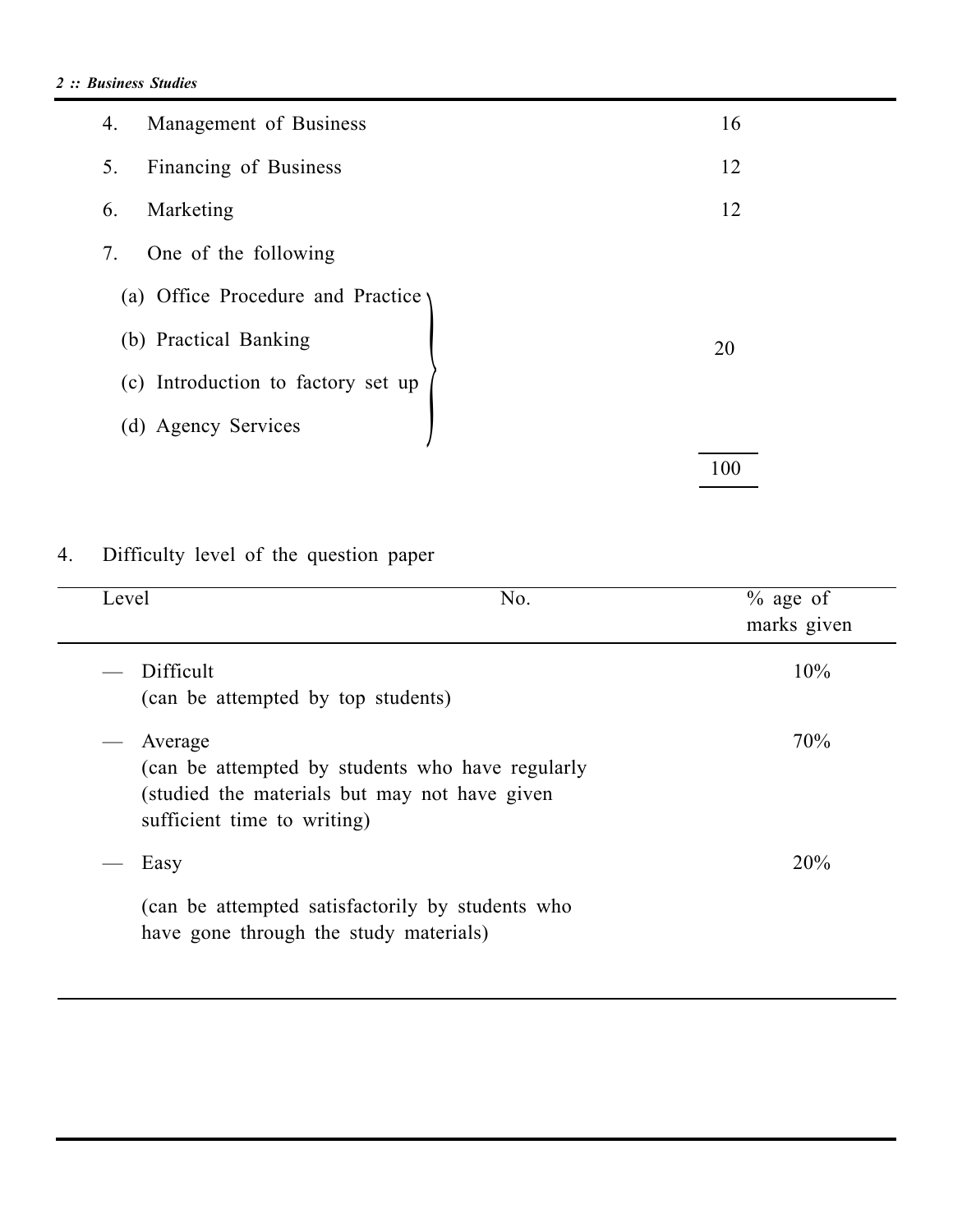| Management of Business<br>4.       | 16  |
|------------------------------------|-----|
| Financing of Business<br>5.        | 12  |
| Marketing<br>6.                    | 12  |
| One of the following<br>7.         |     |
| (a) Office Procedure and Practice  |     |
| (b) Practical Banking              | 20  |
| (c) Introduction to factory set up |     |
| (d) Agency Services                |     |
|                                    | 100 |

## 4. Difficulty level of the question paper

| Level |                                                                                                                                             | No. | $\%$ age of<br>marks given |
|-------|---------------------------------------------------------------------------------------------------------------------------------------------|-----|----------------------------|
|       | Difficult<br>(can be attempted by top students)                                                                                             |     | 10%                        |
|       | Average<br>(can be attempted by students who have regularly<br>(studied the materials but may not have given<br>sufficient time to writing) |     | 70%                        |
|       | Easy                                                                                                                                        |     | 20%                        |
|       | (can be attempted satisfactorily by students who<br>have gone through the study materials)                                                  |     |                            |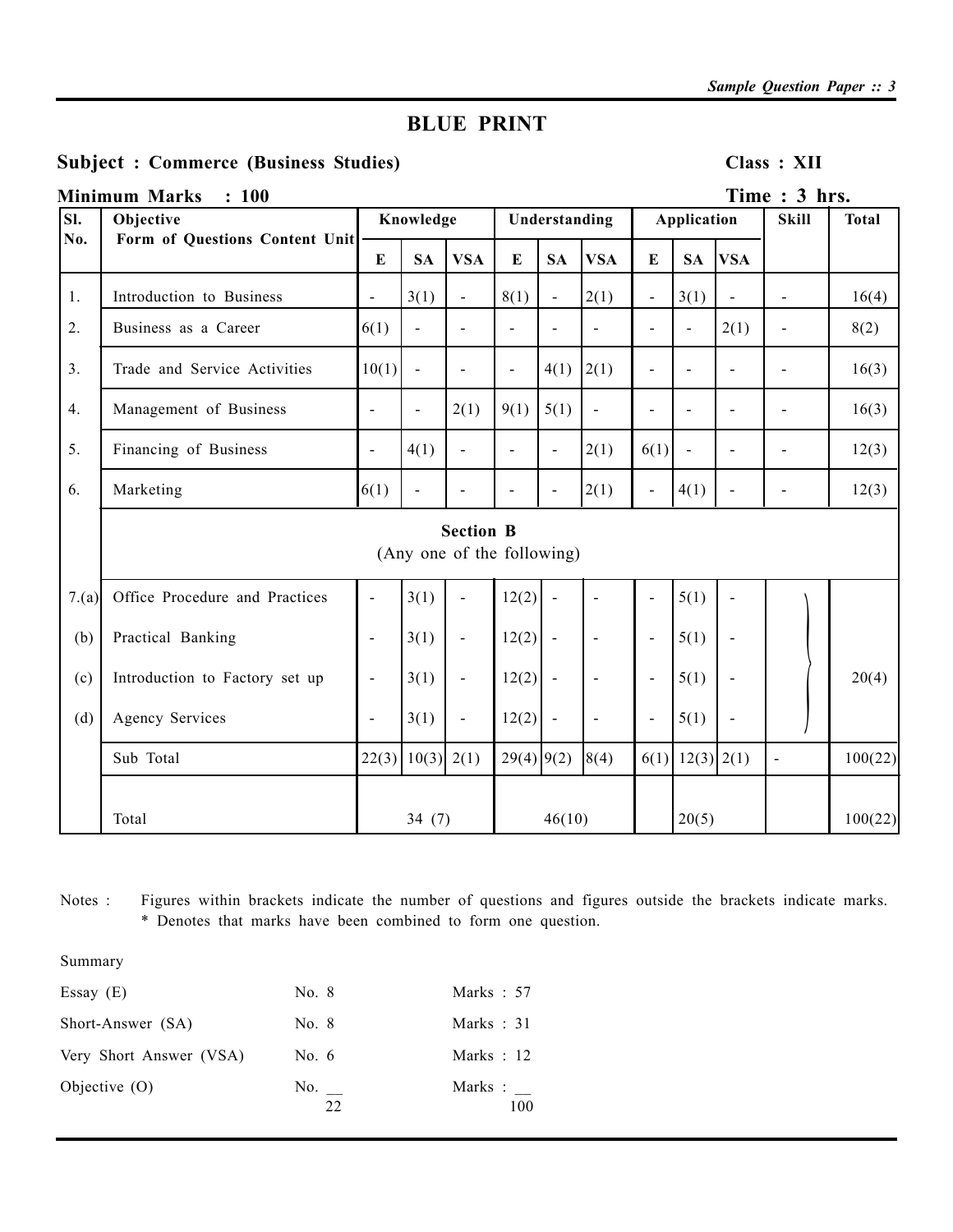## **BLUE PRINT**

### Subject : Commerce (Business Studies) Class : XII

|            | <b>Minimum Marks</b><br>: 100               |                          |                          |                                                |                              |                |                    |                          |                |                          | Time: 3 hrs.   |         |
|------------|---------------------------------------------|--------------------------|--------------------------|------------------------------------------------|------------------------------|----------------|--------------------|--------------------------|----------------|--------------------------|----------------|---------|
| SI.<br>No. | Objective<br>Form of Questions Content Unit |                          | Knowledge                |                                                | Understanding                |                | <b>Application</b> |                          | <b>Skill</b>   | <b>Total</b>             |                |         |
|            |                                             |                          | <b>SA</b>                | <b>VSA</b>                                     | E                            | <b>SA</b>      | <b>VSA</b>         | $\bf{E}$                 | <b>SA</b>      | <b>VSA</b>               |                |         |
| 1.         | Introduction to Business                    | $\blacksquare$           | 3(1)                     | $\frac{1}{2}$                                  | 8(1)                         | $\overline{a}$ | 2(1)               | $\overline{a}$           | 3(1)           | $\overline{\phantom{a}}$ | $\overline{a}$ | 16(4)   |
| 2.         | Business as a Career                        | 6(1)                     | $\overline{a}$           | $\blacksquare$                                 | $\blacksquare$               | $\overline{a}$ | $\blacksquare$     | $\blacksquare$           | $\overline{a}$ | 2(1)                     | $\blacksquare$ | 8(2)    |
| 3.         | Trade and Service Activities                | 10(1)                    | $\blacksquare$           | $\blacksquare$                                 | $\qquad \qquad \blacksquare$ | 4(1)           | 2(1)               | $\blacksquare$           | $\overline{a}$ |                          |                | 16(3)   |
| 4.         | Management of Business                      | $\blacksquare$           | $\overline{a}$           | 2(1)                                           | 9(1)                         | 5(1)           | $\blacksquare$     | $\sim$                   | $\overline{a}$ | $\overline{a}$           | $\blacksquare$ | 16(3)   |
| 5.         | Financing of Business                       | $\blacksquare$           | 4(1)                     | $\blacksquare$                                 | $\overline{a}$               | $\overline{a}$ | 2(1)               | 6(1)                     | $\blacksquare$ | $\blacksquare$           | $\blacksquare$ | 12(3)   |
| 6.         | Marketing                                   | 6(1)                     | $\overline{\phantom{a}}$ |                                                | $\blacksquare$               | $\overline{a}$ | 2(1)               | $\overline{\phantom{a}}$ | 4(1)           |                          |                | 12(3)   |
|            |                                             |                          |                          | <b>Section B</b><br>(Any one of the following) |                              |                |                    |                          |                |                          |                |         |
| 7.(a)      | Office Procedure and Practices              | $\blacksquare$           | 3(1)                     | $\blacksquare$                                 | 12(2)                        | $\blacksquare$ | $\blacksquare$     | $\overline{\phantom{a}}$ | 5(1)           |                          |                |         |
| (b)        | Practical Banking                           | $\overline{\phantom{a}}$ | 3(1)                     | $\blacksquare$                                 | 12(2)                        | $\blacksquare$ | $\blacksquare$     | $\blacksquare$           | 5(1)           | $\overline{\phantom{a}}$ |                |         |
| (c)        | Introduction to Factory set up              | $\overline{\phantom{a}}$ | 3(1)                     | $\blacksquare$                                 | 12(2)                        | $\blacksquare$ | $\blacksquare$     | $\blacksquare$           | 5(1)           | $\blacksquare$           |                | 20(4)   |
| (d)        | <b>Agency Services</b>                      | $\blacksquare$           | 3(1)                     | $\blacksquare$                                 | 12(2)                        | $\blacksquare$ | $\blacksquare$     | $\overline{\phantom{a}}$ | 5(1)           | $\overline{a}$           |                |         |
|            | Sub Total                                   | 22(3)                    | 10(3)                    | 2(1)                                           | $29(4)$ 9(2)                 |                | 8(4)               | 6(1)                     |                | $12(3)$ $2(1)$           | $\blacksquare$ | 100(22) |
|            | Total                                       |                          | 34(7)                    |                                                |                              | 46(10)         |                    |                          | 20(5)          |                          |                | 100(22) |

Notes : Figures within brackets indicate the number of questions and figures outside the brackets indicate marks. \* Denotes that marks have been combined to form one question.

Summary

| Essay $(E)$             | No. 8     | Marks $: 57$   |
|-------------------------|-----------|----------------|
| Short-Answer (SA)       | No. 8     | Marks $: 31$   |
| Very Short Answer (VSA) | No. $6$   | Marks $: 12$   |
| Objective $(0)$         | No.<br>22 | Marks :<br>100 |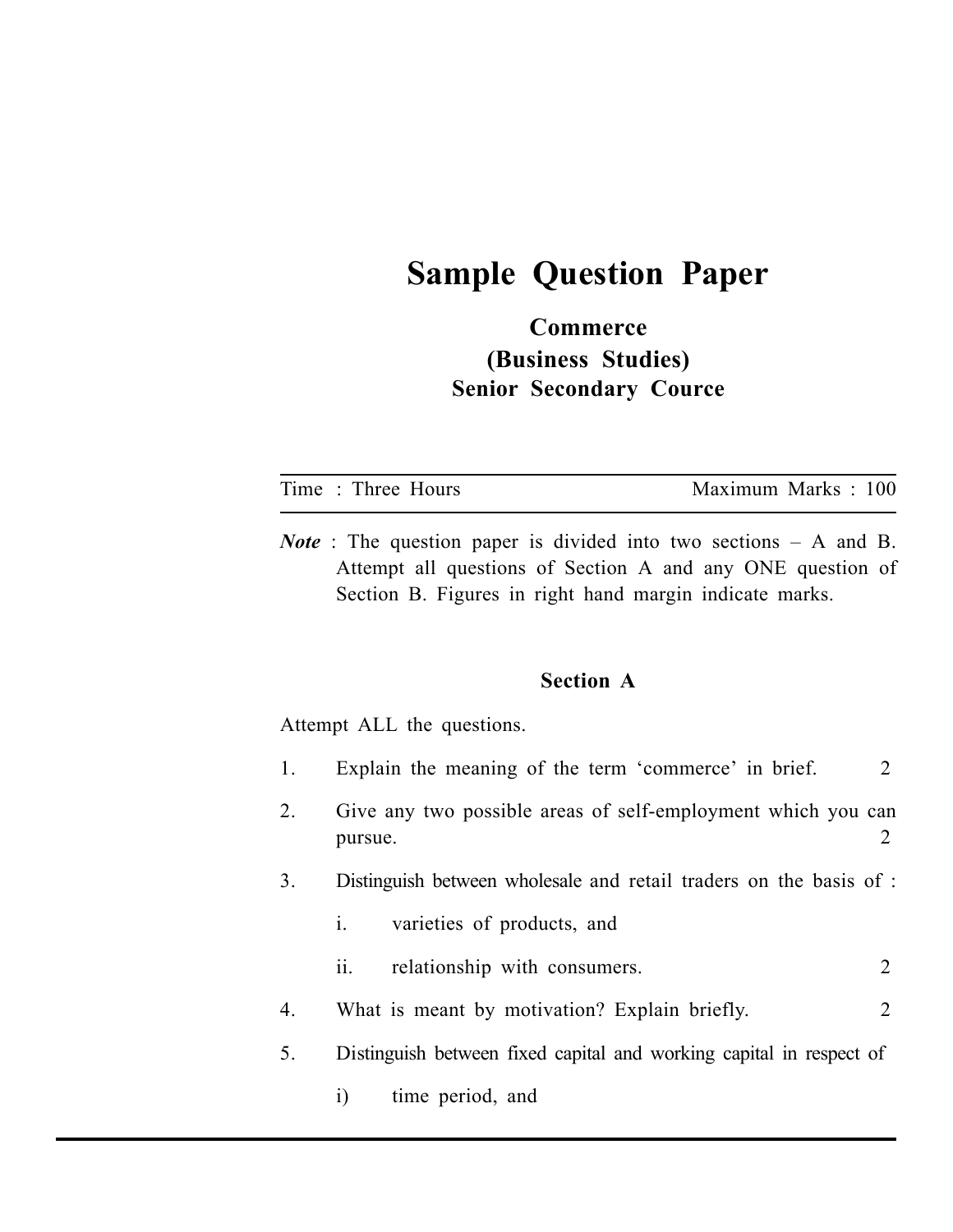## **Sample Question Paper**

## **Commerce (Business Studies) Senior Secondary Cource**

| Time: Three Hours          | Maximum Marks: 100                                                                                                                                                                                  |
|----------------------------|-----------------------------------------------------------------------------------------------------------------------------------------------------------------------------------------------------|
|                            | <i>Note</i> : The question paper is divided into two sections $-$ A and B.<br>Attempt all questions of Section A and any ONE question of<br>Section B. Figures in right hand margin indicate marks. |
| Attempt ALL the questions. | <b>Section A</b>                                                                                                                                                                                    |

1. Explain the meaning of the term 'commerce' in brief. 2

- 2. Give any two possible areas of self-employment which you can pursue. 2
- 3. Distinguish between wholesale and retail traders on the basis of :
	- i. varieties of products, and
	- ii. relationship with consumers. 2
- 4. What is meant by motivation? Explain briefly. 2
- 5. Distinguish between fixed capital and working capital in respect of
	- i) time period, and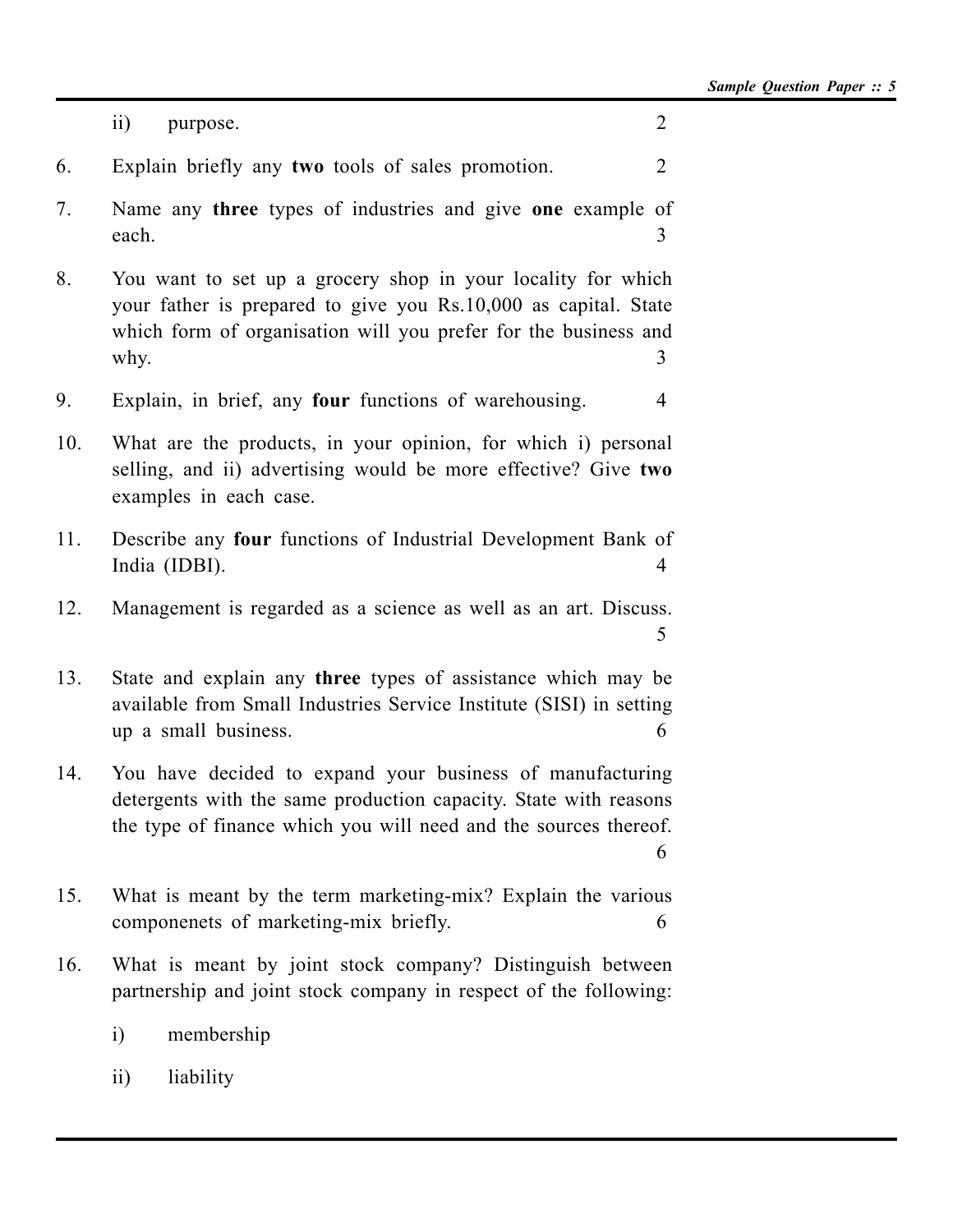|     | $\overline{ii}$<br>purpose.                                                                                                                                                                                | $\overline{2}$ |
|-----|------------------------------------------------------------------------------------------------------------------------------------------------------------------------------------------------------------|----------------|
| 6.  | Explain briefly any two tools of sales promotion.                                                                                                                                                          | 2              |
| 7.  | Name any three types of industries and give one example of<br>each.                                                                                                                                        | 3              |
| 8.  | You want to set up a grocery shop in your locality for which<br>your father is prepared to give you Rs.10,000 as capital. State<br>which form of organisation will you prefer for the business and<br>why. | 3              |
| 9.  | Explain, in brief, any four functions of warehousing.                                                                                                                                                      | 4              |
| 10. | What are the products, in your opinion, for which i) personal<br>selling, and ii) advertising would be more effective? Give two<br>examples in each case.                                                  |                |
| 11. | Describe any four functions of Industrial Development Bank of<br>India (IDBI).                                                                                                                             | 4              |
| 12. | Management is regarded as a science as well as an art. Discuss.                                                                                                                                            | 5              |
| 13. | State and explain any three types of assistance which may be<br>available from Small Industries Service Institute (SISI) in setting<br>up a small business.                                                | 6              |
| 14. | You have decided to expand your business of manufacturing<br>detergents with the same production capacity. State with reasons<br>the type of finance which you will need and the sources thereof.          | 6              |
| 15. | What is meant by the term marketing-mix? Explain the various<br>componenets of marketing-mix briefly.                                                                                                      | 6              |
| 16. | What is meant by joint stock company? Distinguish between<br>partnership and joint stock company in respect of the following:                                                                              |                |
|     | membership<br>$\rm i)$                                                                                                                                                                                     |                |
|     | $\overline{11}$<br>liability                                                                                                                                                                               |                |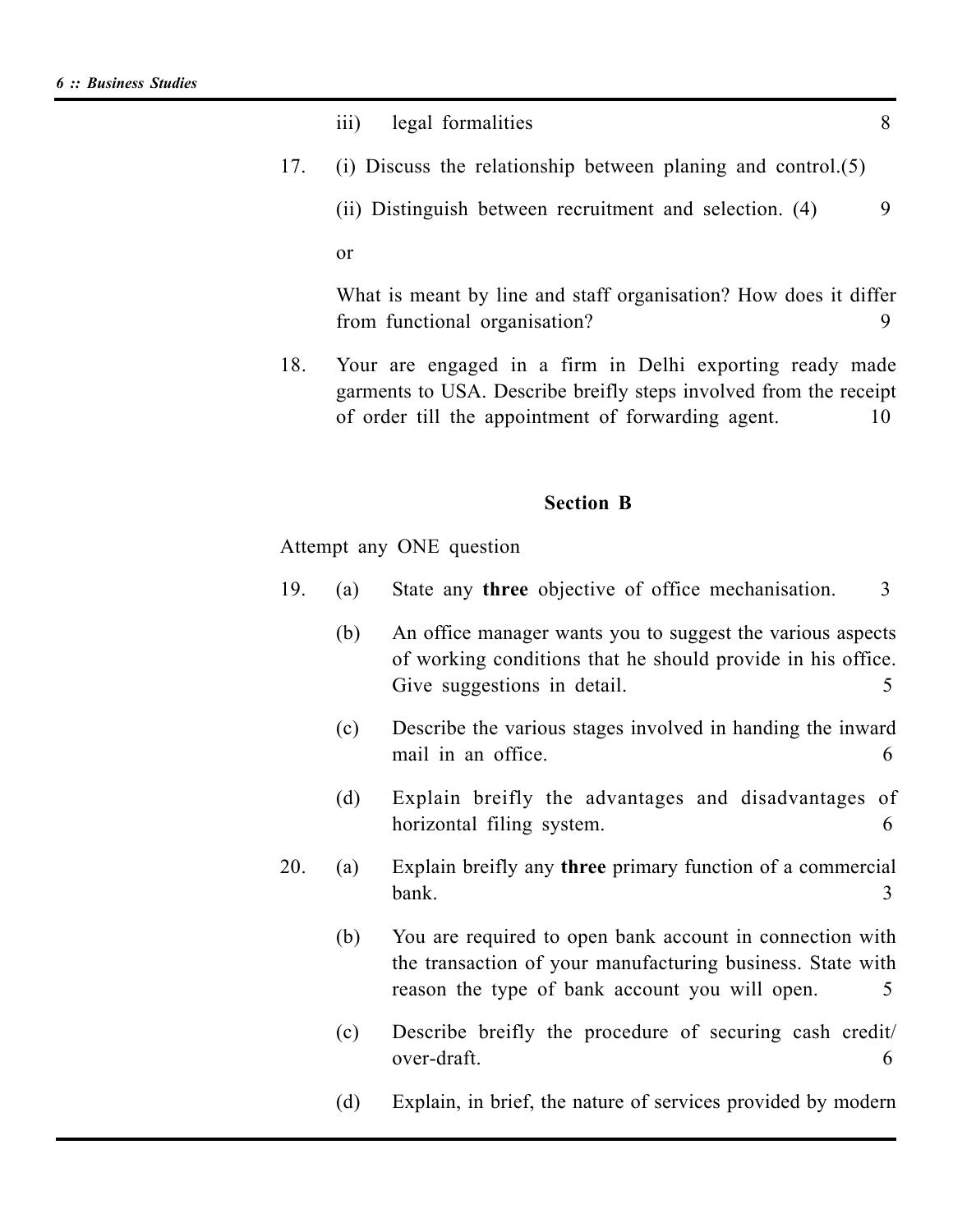|     | legal formalities<br>$\overline{111}$                                                                                                                                               | 8  |
|-----|-------------------------------------------------------------------------------------------------------------------------------------------------------------------------------------|----|
| 17. | (i) Discuss the relationship between planing and control. $(5)$                                                                                                                     |    |
|     | (ii) Distinguish between recruitment and selection. (4)                                                                                                                             | 9  |
|     | 0r                                                                                                                                                                                  |    |
|     | What is meant by line and staff organisation? How does it differ<br>from functional organisation?                                                                                   | 9  |
| 18. | Your are engaged in a firm in Delhi exporting ready made<br>garments to USA. Describe breifly steps involved from the receipt<br>of order till the appointment of forwarding agent. | 10 |
|     |                                                                                                                                                                                     |    |

#### **Section B**

Attempt any ONE question

- 19. (a) State any **three** objective of office mechanisation. 3
	- (b) An office manager wants you to suggest the various aspects of working conditions that he should provide in his office. Give suggestions in detail. 5
	- (c) Describe the various stages involved in handing the inward mail in an office. 6
	- (d) Explain breifly the advantages and disadvantages of horizontal filing system. 6
- 20. (a) Explain breifly any **three** primary function of a commercial bank. 3
	- (b) You are required to open bank account in connection with the transaction of your manufacturing business. State with reason the type of bank account you will open. 5
	- (c) Describe breifly the procedure of securing cash credit/ over-draft. 6
	- (d) Explain, in brief, the nature of services provided by modern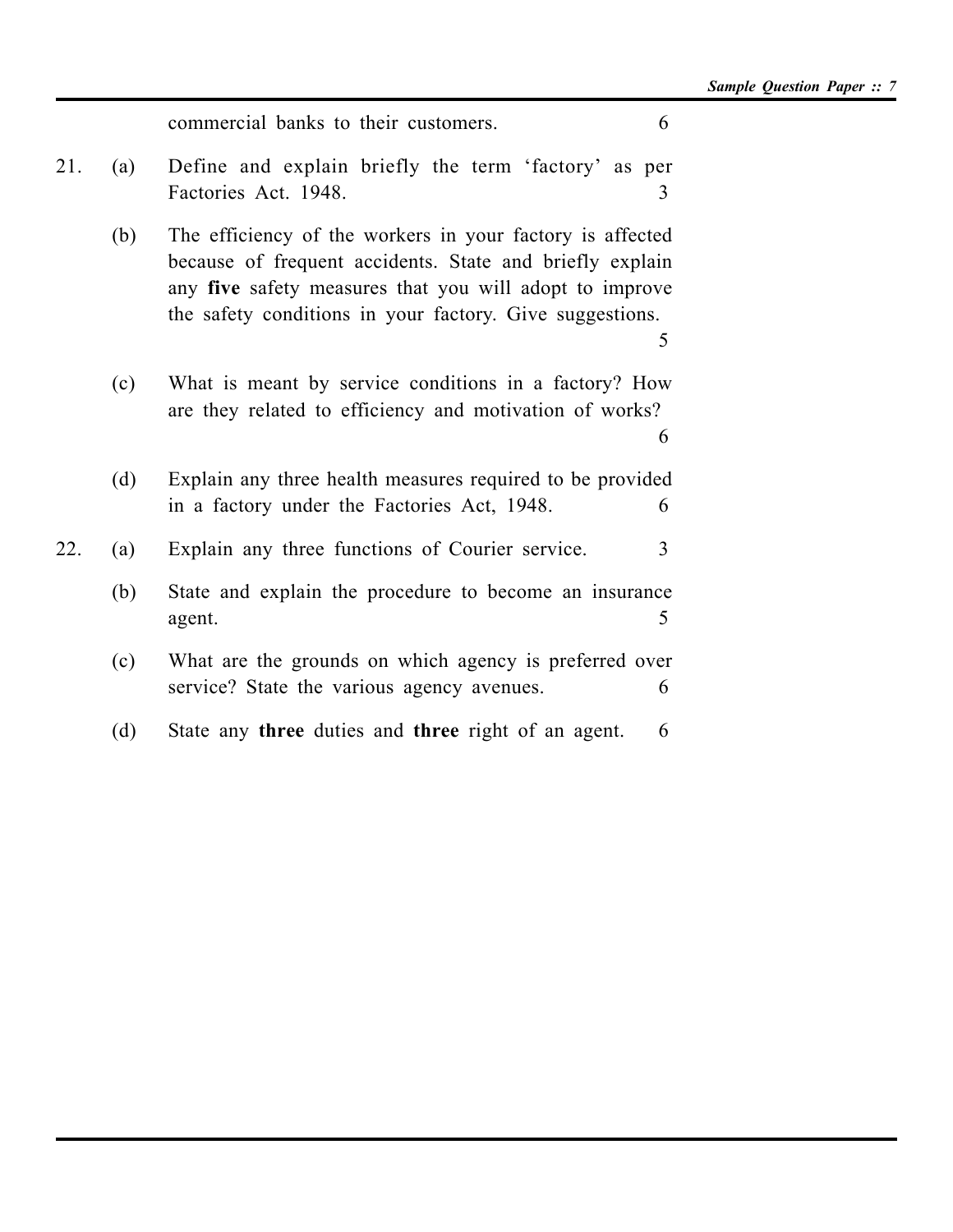|            | commercial banks to their customers.                                                                                                                                                                                                         | 6              |
|------------|----------------------------------------------------------------------------------------------------------------------------------------------------------------------------------------------------------------------------------------------|----------------|
| 21.<br>(a) | Define and explain briefly the term 'factory' as per<br>Factories Act. 1948.                                                                                                                                                                 | 3              |
| (b)        | The efficiency of the workers in your factory is affected<br>because of frequent accidents. State and briefly explain<br>any five safety measures that you will adopt to improve<br>the safety conditions in your factory. Give suggestions. | 5              |
| (c)        | What is meant by service conditions in a factory? How<br>are they related to efficiency and motivation of works?                                                                                                                             | 6              |
| (d)        | Explain any three health measures required to be provided<br>in a factory under the Factories Act, 1948.                                                                                                                                     | 6              |
| 22.<br>(a) | Explain any three functions of Courier service.                                                                                                                                                                                              | $\overline{3}$ |
| (b)        | State and explain the procedure to become an insurance<br>agent.                                                                                                                                                                             | 5              |
| (c)        | What are the grounds on which agency is preferred over<br>service? State the various agency avenues.                                                                                                                                         | 6              |
| (d)        | State any three duties and three right of an agent.                                                                                                                                                                                          | 6              |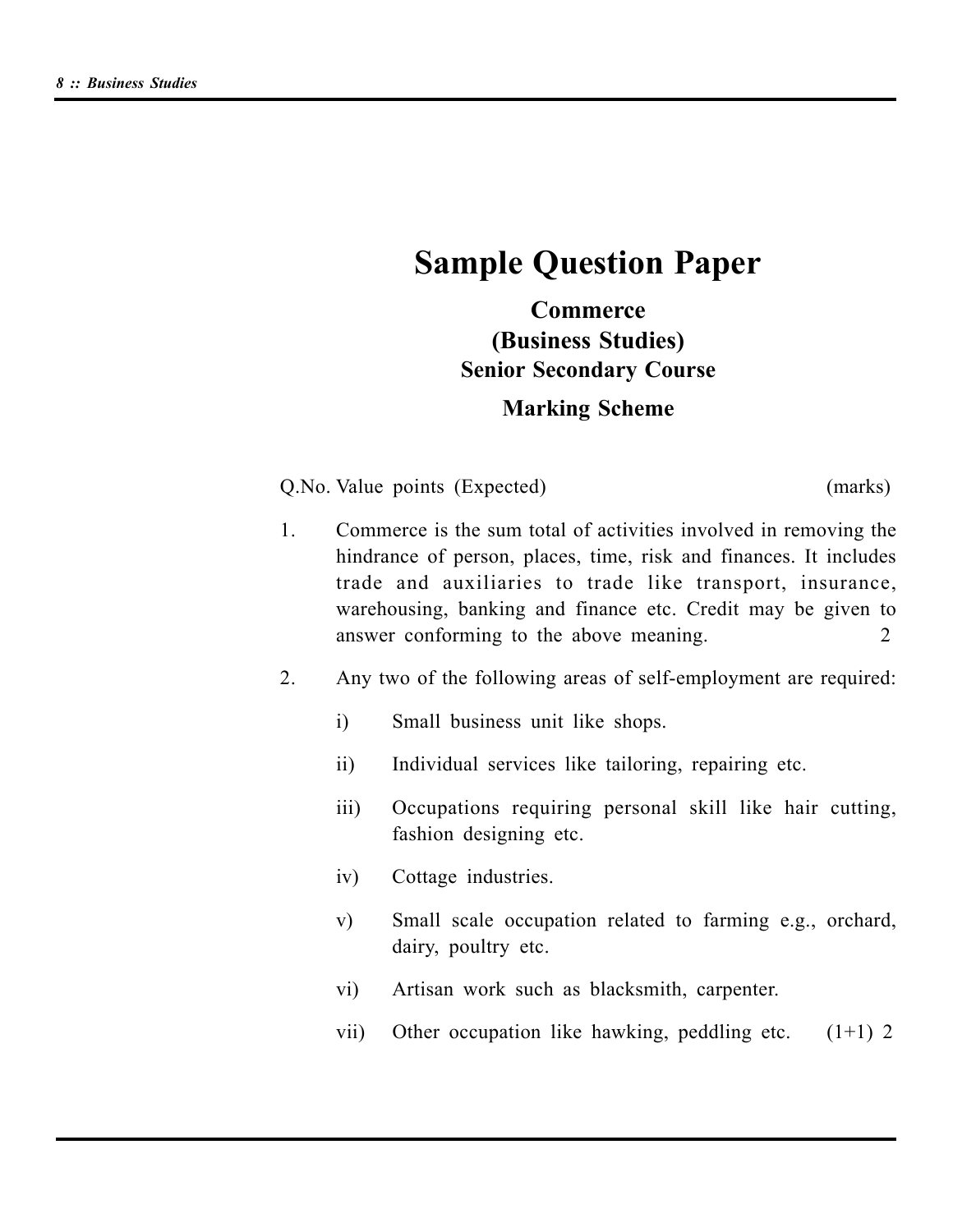## **Sample Question Paper**

## **Commerce (Business Studies) Senior Secondary Course**

## **Marking Scheme**

Q.No. Value points (Expected) (marks)

- 1. Commerce is the sum total of activities involved in removing the hindrance of person, places, time, risk and finances. It includes trade and auxiliaries to trade like transport, insurance, warehousing, banking and finance etc. Credit may be given to answer conforming to the above meaning. 2
- 2. Any two of the following areas of self-employment are required:
	- i) Small business unit like shops.
	- ii) Individual services like tailoring, repairing etc.
	- iii) Occupations requiring personal skill like hair cutting, fashion designing etc.
	- iv) Cottage industries.
	- v) Small scale occupation related to farming e.g., orchard, dairy, poultry etc.
	- vi) Artisan work such as blacksmith, carpenter.
	- vii) Other occupation like hawking, peddling etc.  $(1+1)$  2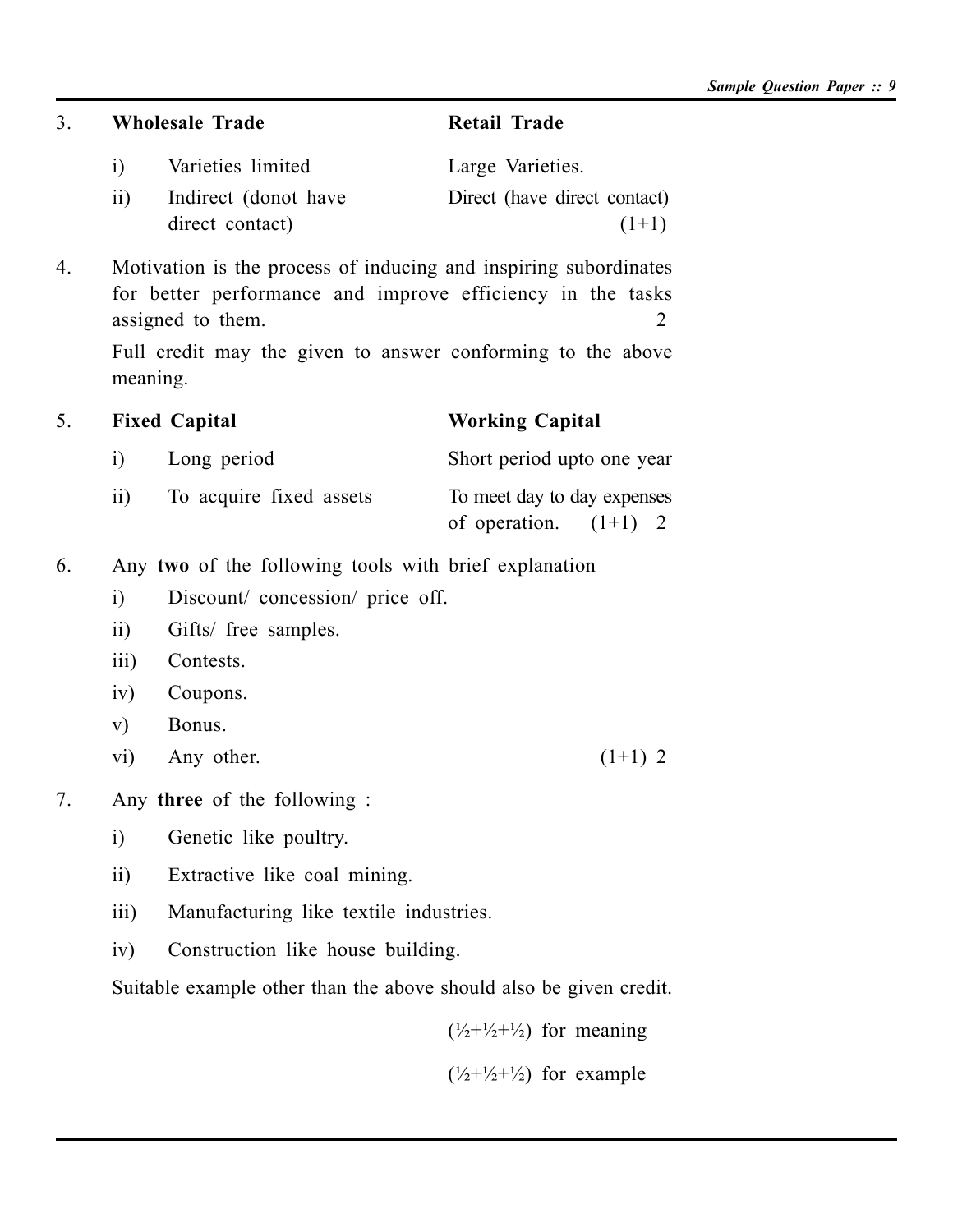3. **Wholesale Trade Retail Trade**

| i)              | Varieties limited    | Large Varieties.             |
|-----------------|----------------------|------------------------------|
| $\overline{11}$ | Indirect (donot have | Direct (have direct contact) |
|                 | direct contact)      | $(1+1)$                      |

4. Motivation is the process of inducing and inspiring subordinates for better performance and improve efficiency in the tasks assigned to them. 2

Full credit may the given to answer conforming to the above meaning.

| 5. |     | <b>Fixed Capital</b>    | <b>Working Capital</b>      |  |  |  |
|----|-----|-------------------------|-----------------------------|--|--|--|
|    | 1)  | Long period             | Short period upto one year  |  |  |  |
|    | 11) | To acquire fixed assets | To meet day to day expenses |  |  |  |
|    |     |                         | of operation. $(1+1)$ 2     |  |  |  |

- 6. Any **two** of the following tools with brief explanation
	- i) Discount/ concession/ price off.
	- ii) Gifts/ free samples.
	- iii) Contests.
	- iv) Coupons.
	- v) Bonus.
	- vi) Any other.  $(1+1)$  2
- 7. Any **three** of the following :
	- i) Genetic like poultry.
	- ii) Extractive like coal mining.
	- iii) Manufacturing like textile industries.
	- iv) Construction like house building.

Suitable example other than the above should also be given credit.

 $(\frac{1}{2}+\frac{1}{2}+\frac{1}{2})$  for meaning

 $(\frac{1}{2} + \frac{1}{2} + \frac{1}{2})$  for example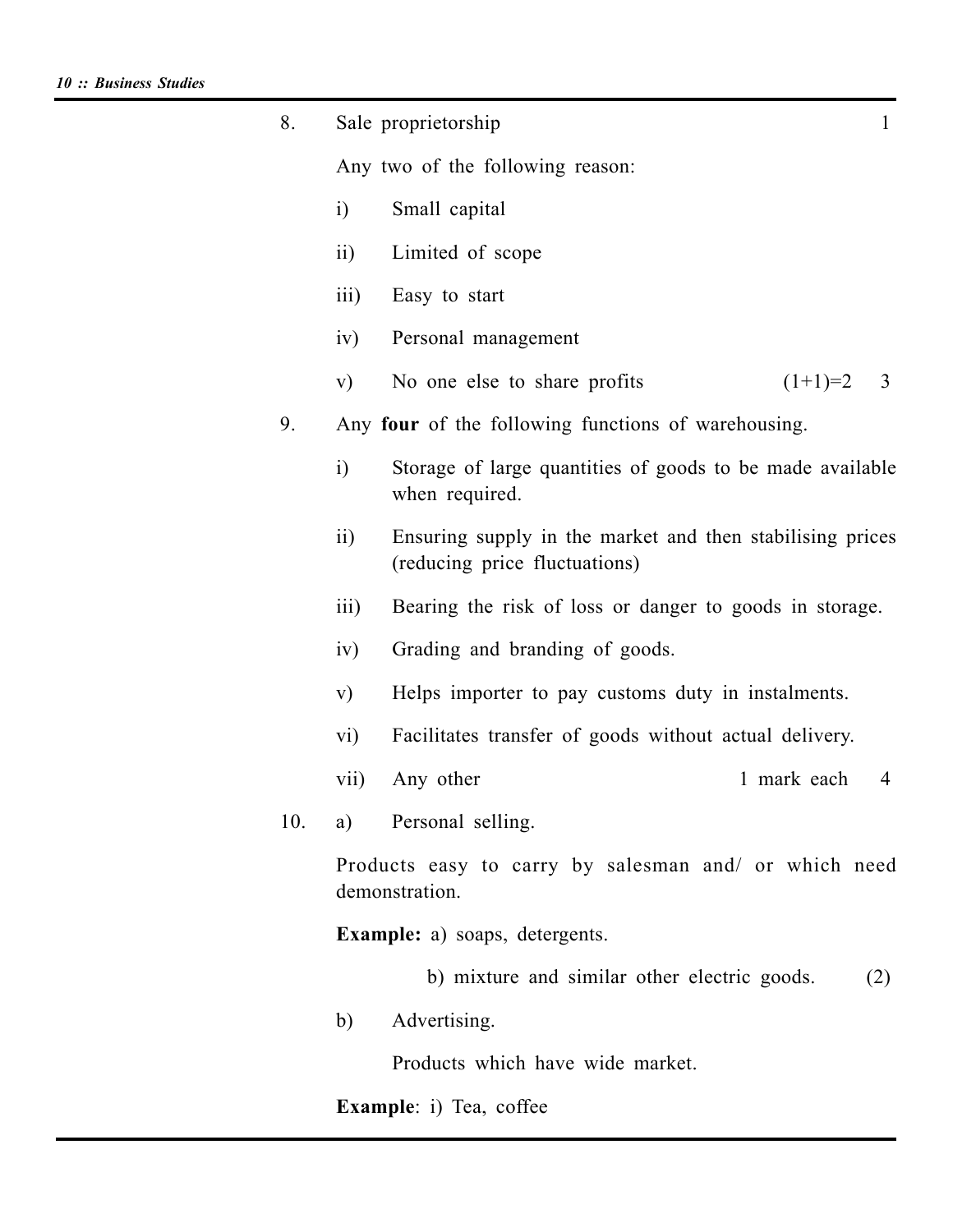| 8.  |                    | Sale proprietorship                                                                        | 1   |
|-----|--------------------|--------------------------------------------------------------------------------------------|-----|
|     |                    | Any two of the following reason:                                                           |     |
|     | i)                 | Small capital                                                                              |     |
|     | $\overline{11}$ )  | Limited of scope                                                                           |     |
|     | $\overline{iii}$ ) | Easy to start                                                                              |     |
|     | iv)                | Personal management                                                                        |     |
|     | V)                 | $(1+1)=2$ 3<br>No one else to share profits                                                |     |
| 9.  |                    | Any four of the following functions of warehousing.                                        |     |
|     | i)                 | Storage of large quantities of goods to be made available<br>when required.                |     |
|     | $\overline{11}$    | Ensuring supply in the market and then stabilising prices<br>(reducing price fluctuations) |     |
|     | $\overline{111}$   | Bearing the risk of loss or danger to goods in storage.                                    |     |
|     | iv)                | Grading and branding of goods.                                                             |     |
|     | V)                 | Helps importer to pay customs duty in instalments.                                         |     |
|     | $\overline{vi}$    | Facilitates transfer of goods without actual delivery.                                     |     |
|     | vii)               | 1 mark each<br>Any other                                                                   | 4   |
| 10. |                    | a) Personal selling.                                                                       |     |
|     |                    | Products easy to carry by salesman and/ or which need<br>demonstration.                    |     |
|     |                    | <b>Example:</b> a) soaps, detergents.                                                      |     |
|     |                    | b) mixture and similar other electric goods.                                               | (2) |
|     | b)                 | Advertising.                                                                               |     |
|     |                    | Products which have wide market.                                                           |     |
|     |                    | <b>Example</b> : i) Tea, coffee                                                            |     |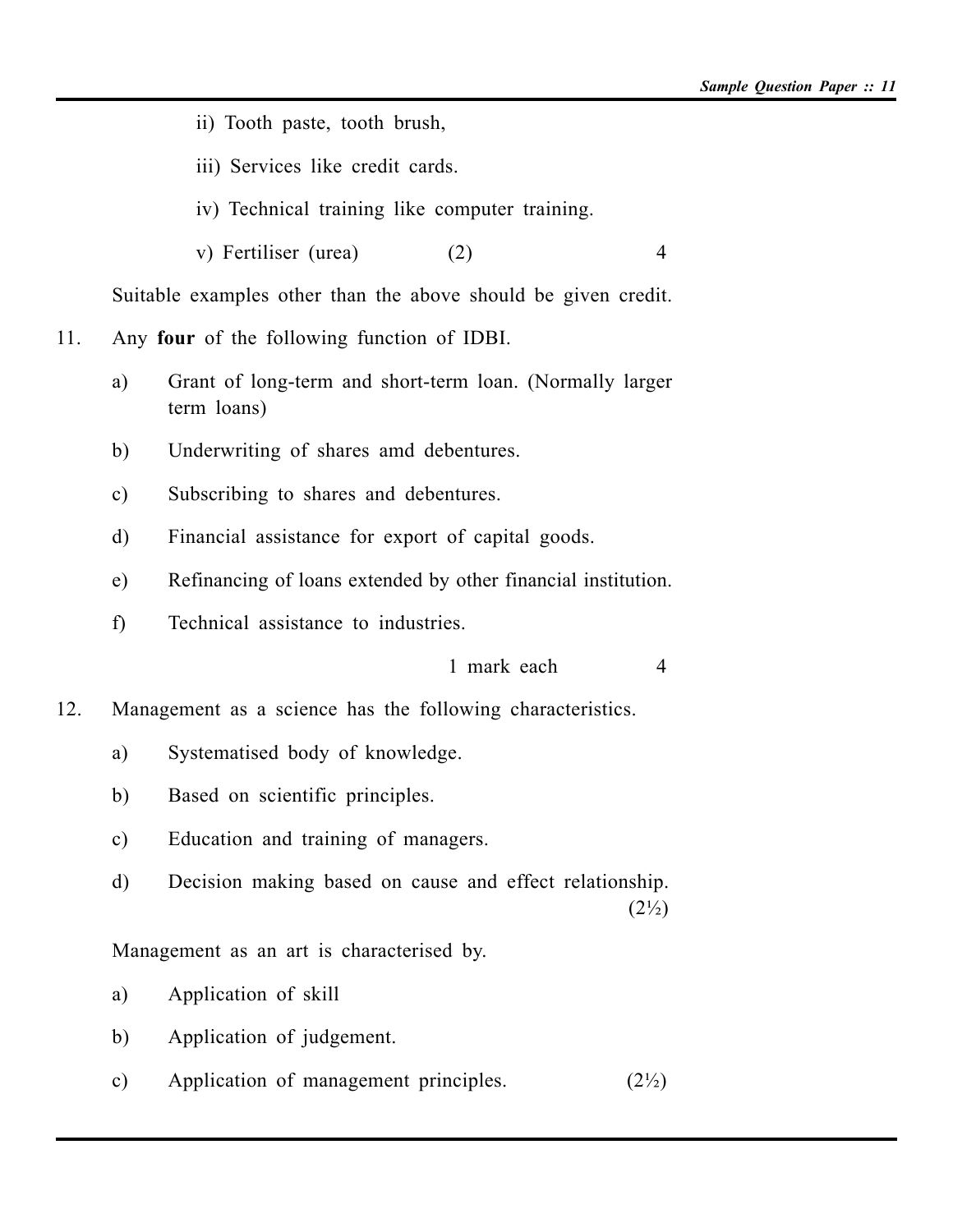- ii) Tooth paste, tooth brush,
- iii) Services like credit cards.
- iv) Technical training like computer training.
- v) Fertiliser (urea) (2) 4

Suitable examples other than the above should be given credit.

11. Any **four** of the following function of IDBI.

- a) Grant of long-term and short-term loan. (Normally larger term loans)
- b) Underwriting of shares amd debentures.
- c) Subscribing to shares and debentures.
- d) Financial assistance for export of capital goods.
- e) Refinancing of loans extended by other financial institution.
- f) Technical assistance to industries.

1 mark each 4

12. Management as a science has the following characteristics.

- a) Systematised body of knowledge.
- b) Based on scientific principles.
- c) Education and training of managers.
- d) Decision making based on cause and effect relationship.  $(2\frac{1}{2})$

Management as an art is characterised by.

a) Application of skill

- b) Application of judgement.
- c) Application of management principles.  $(2\frac{1}{2})$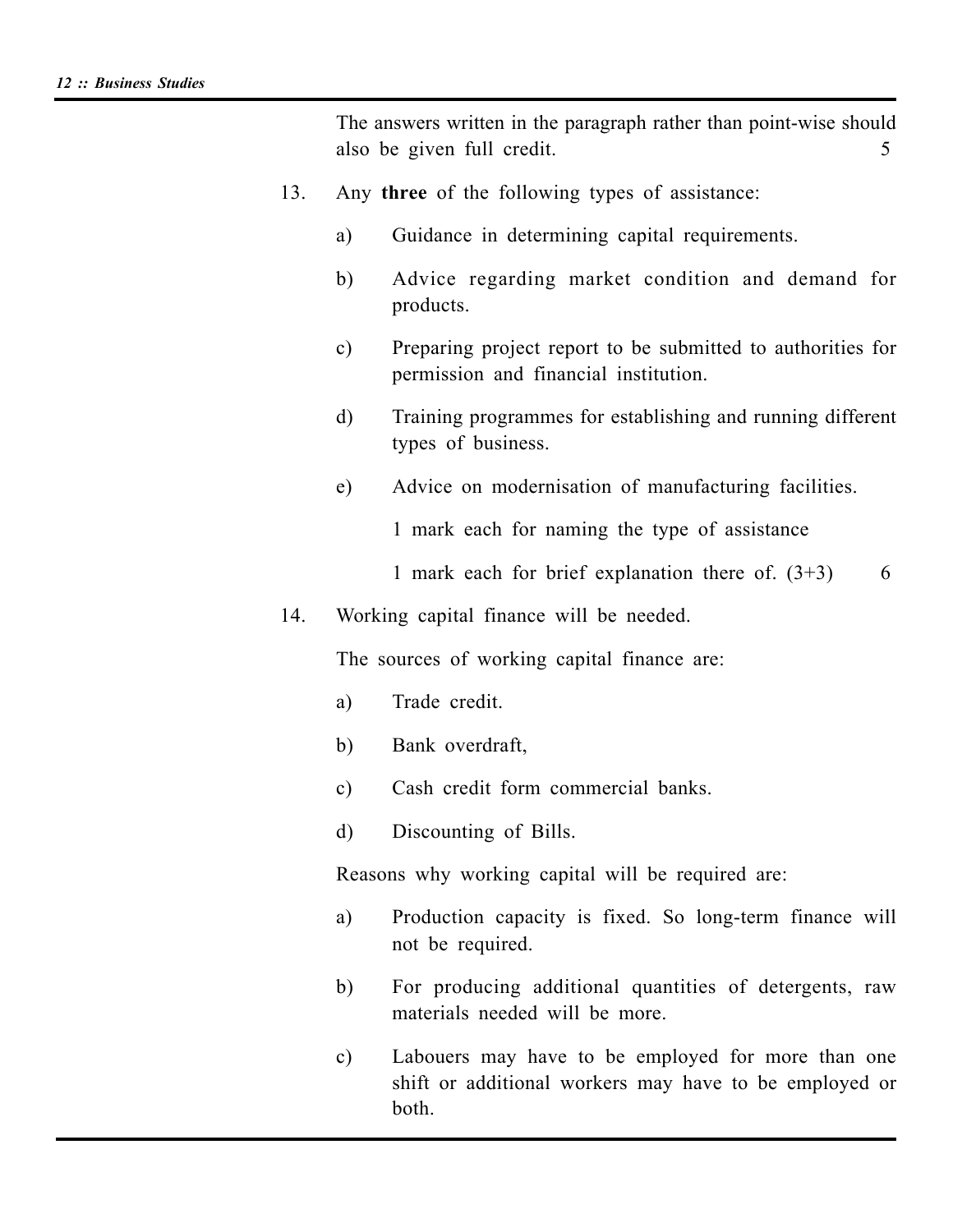The answers written in the paragraph rather than point-wise should also be given full credit. 5

- 13. Any **three** of the following types of assistance:
	- a) Guidance in determining capital requirements.
	- b) Advice regarding market condition and demand for products.
	- c) Preparing project report to be submitted to authorities for permission and financial institution.
	- d) Training programmes for establishing and running different types of business.
	- e) Advice on modernisation of manufacturing facilities.

1 mark each for naming the type of assistance

1 mark each for brief explanation there of.  $(3+3)$  6

14. Working capital finance will be needed.

The sources of working capital finance are:

- a) Trade credit.
- b) Bank overdraft,
- c) Cash credit form commercial banks.
- d) Discounting of Bills.

Reasons why working capital will be required are:

- a) Production capacity is fixed. So long-term finance will not be required.
- b) For producing additional quantities of detergents, raw materials needed will be more.
- c) Labouers may have to be employed for more than one shift or additional workers may have to be employed or both.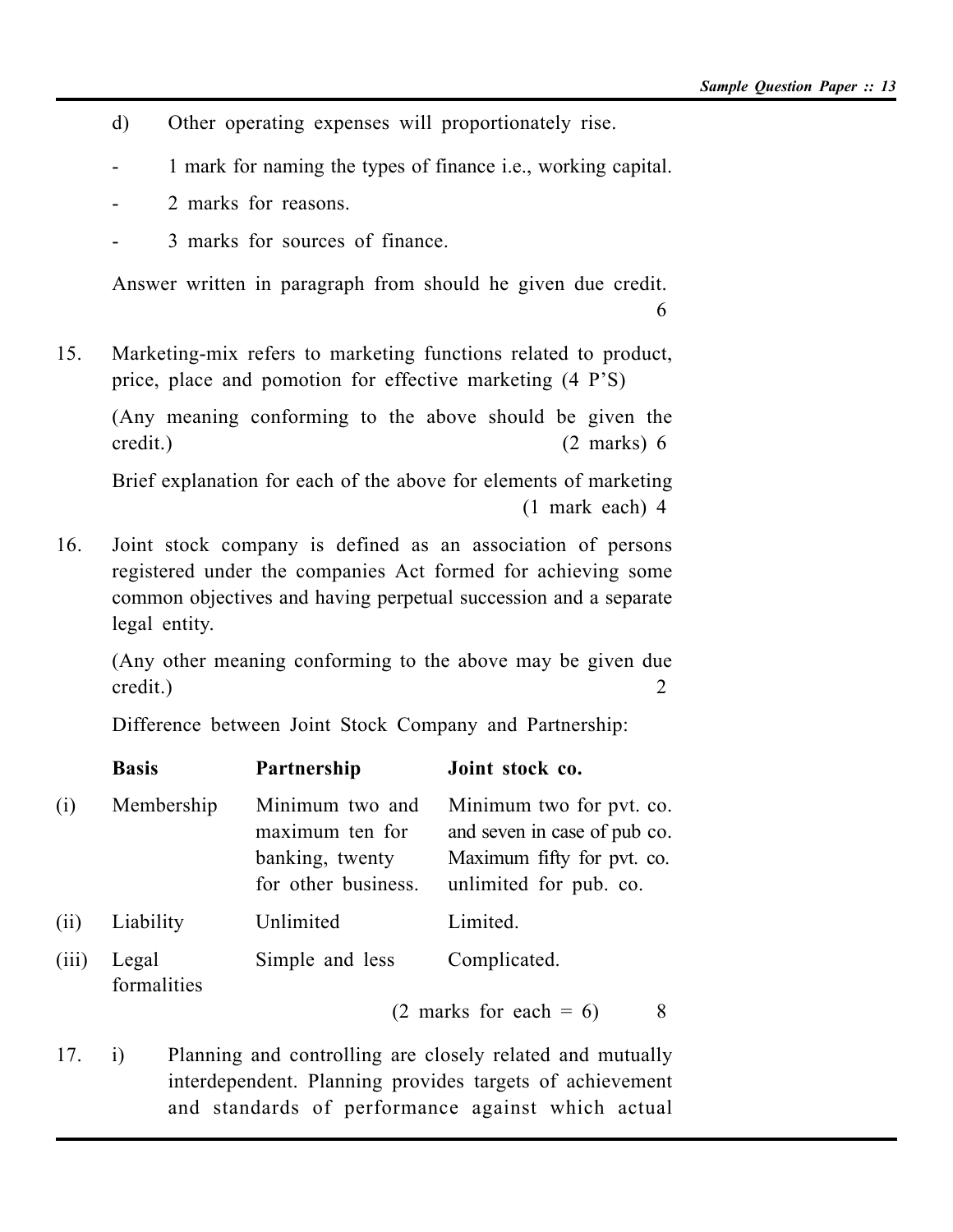- d) Other operating expenses will proportionately rise.
- 1 mark for naming the types of finance i.e., working capital.
- 2 marks for reasons.
- 3 marks for sources of finance.

Answer written in paragraph from should he given due credit. 6

15. Marketing-mix refers to marketing functions related to product, price, place and pomotion for effective marketing (4 P'S)

(Any meaning conforming to the above should be given the credit.) (2 marks) 6

Brief explanation for each of the above for elements of marketing (1 mark each) 4

16. Joint stock company is defined as an association of persons registered under the companies Act formed for achieving some common objectives and having perpetual succession and a separate legal entity.

(Any other meaning conforming to the above may be given due credit.) 2

Difference between Joint Stock Company and Partnership:

|       | <b>Basis</b>         | Partnership                                                                  | Joint stock co.                                                                                                  |  |
|-------|----------------------|------------------------------------------------------------------------------|------------------------------------------------------------------------------------------------------------------|--|
| (i)   | Membership           | Minimum two and<br>maximum ten for<br>banking, twenty<br>for other business. | Minimum two for pvt. co.<br>and seven in case of pub co.<br>Maximum fifty for pvt. co.<br>unlimited for pub. co. |  |
| (ii)  | Liability            | Unlimited                                                                    | Limited.                                                                                                         |  |
| (iii) | Legal<br>formalities | Simple and less                                                              | Complicated.                                                                                                     |  |
|       |                      |                                                                              | $(2 \text{ marks}$ for each = 6)<br>8                                                                            |  |

17. i) Planning and controlling are closely related and mutually interdependent. Planning provides targets of achievement and standards of performance against which actual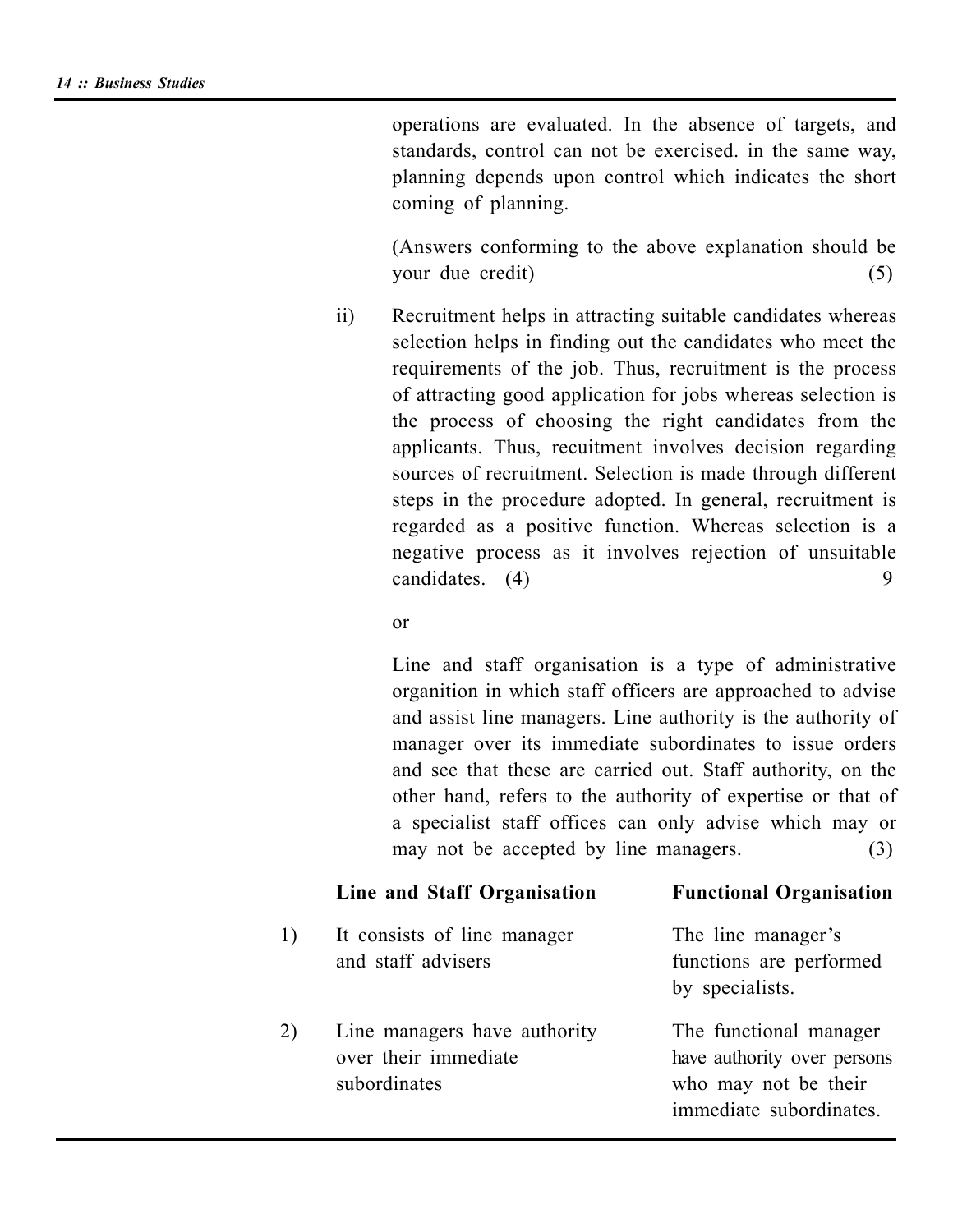operations are evaluated. In the absence of targets, and standards, control can not be exercised. in the same way, planning depends upon control which indicates the short coming of planning.

(Answers conforming to the above explanation should be your due credit) (5)

ii) Recruitment helps in attracting suitable candidates whereas selection helps in finding out the candidates who meet the requirements of the job. Thus, recruitment is the process of attracting good application for jobs whereas selection is the process of choosing the right candidates from the applicants. Thus, recuitment involves decision regarding sources of recruitment. Selection is made through different steps in the procedure adopted. In general, recruitment is regarded as a positive function. Whereas selection is a negative process as it involves rejection of unsuitable candidates. (4) 9

#### or

Line and staff organisation is a type of administrative organition in which staff officers are approached to advise and assist line managers. Line authority is the authority of manager over its immediate subordinates to issue orders and see that these are carried out. Staff authority, on the other hand, refers to the authority of expertise or that of a specialist staff offices can only advise which may or may not be accepted by line managers. (3)

#### **Line and Staff Organisation Functional Organisation**

1) It consists of line manager The line manager's and staff advisers functions are performed by specialists. 2) Line managers have authority The functional manager

over their immediate have authority over persons subordinates who may not be their immediate subordinates.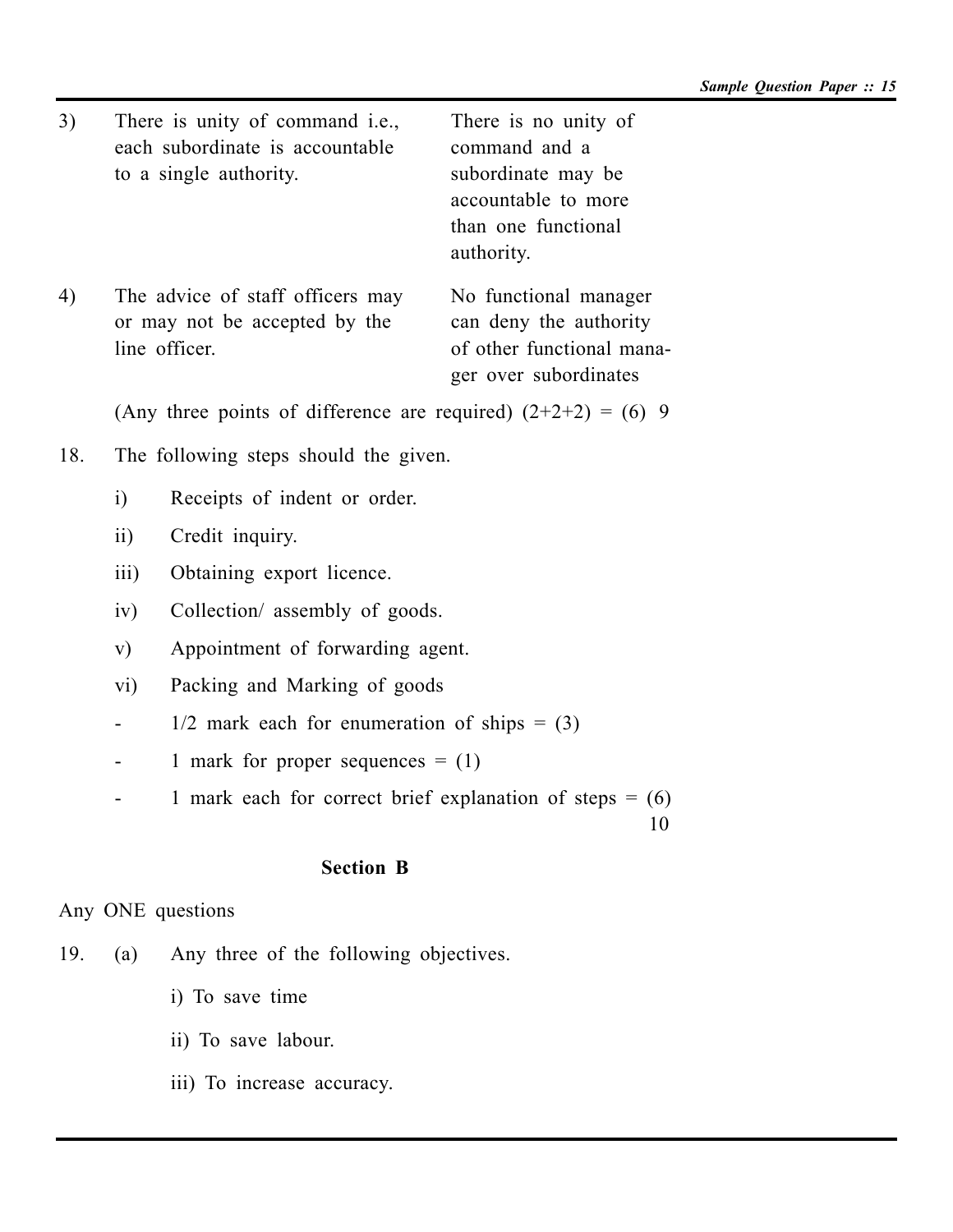- 3) There is unity of command i.e., There is no unity of each subordinate is accountable command and a to a single authority. Subordinate may be
- 4) The advice of staff officers may No functional manager or may not be accepted by the can deny the authority line officer. of other functional mana-

accountable to more than one functional authority.

ger over subordinates

(Any three points of difference are required)  $(2+2+2) = (6)$  9

- 18. The following steps should the given.
	- i) Receipts of indent or order.
	- ii) Credit inquiry.
	- iii) Obtaining export licence.
	- iv) Collection/ assembly of goods.
	- v) Appointment of forwarding agent.
	- vi) Packing and Marking of goods
	- $1/2$  mark each for enumeration of ships = (3)
	- 1 mark for proper sequences  $= (1)$
	- 1 mark each for correct brief explanation of steps  $= (6)$

10

## **Section B**

Any ONE questions

- 19. (a) Any three of the following objectives.
	- i) To save time
	- ii) To save labour.
	- iii) To increase accuracy.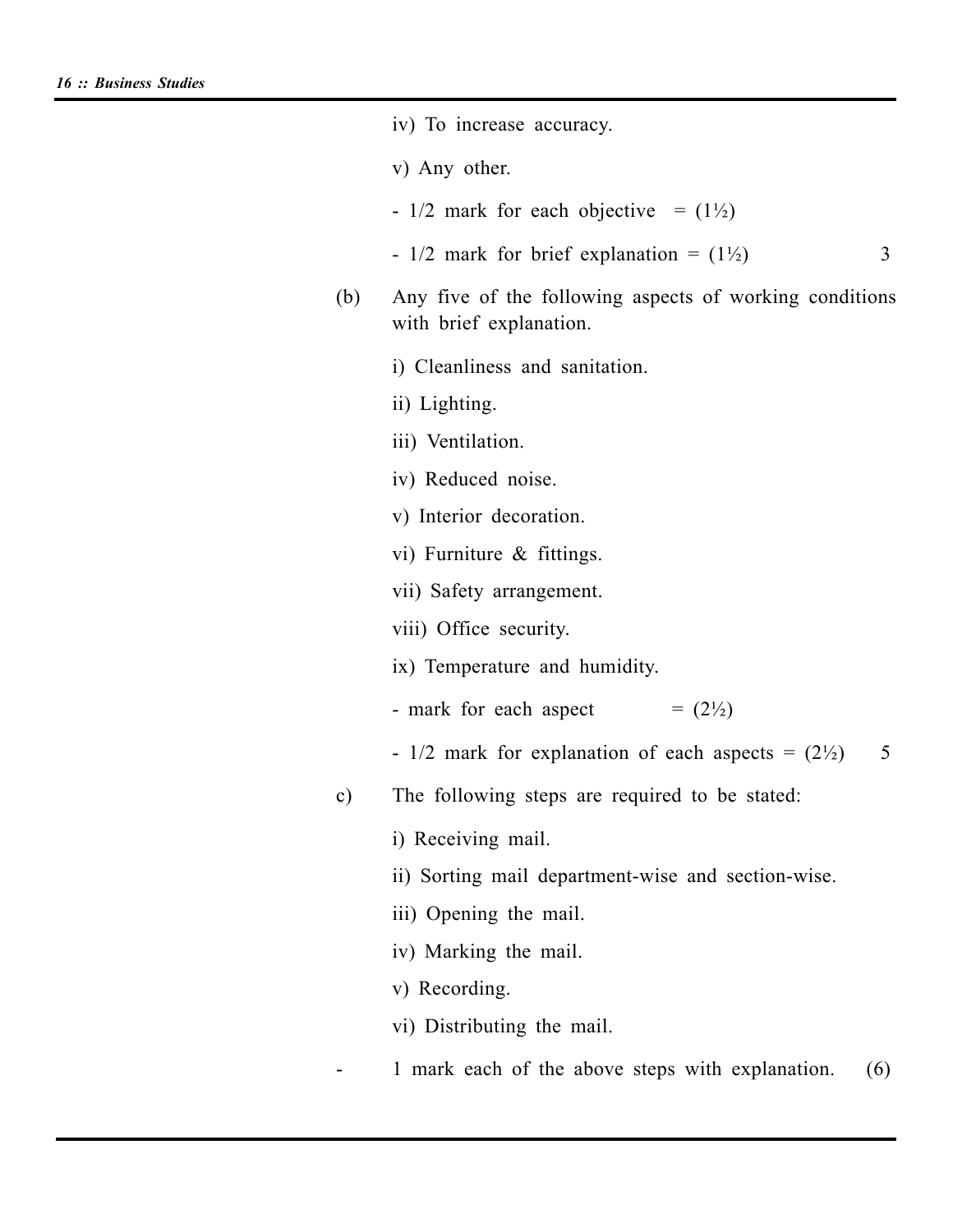|               | iv) To increase accuracy.                                                          |  |  |  |
|---------------|------------------------------------------------------------------------------------|--|--|--|
|               | v) Any other.                                                                      |  |  |  |
|               | - $1/2$ mark for each objective = $(1\frac{1}{2})$                                 |  |  |  |
|               | - $1/2$ mark for brief explanation = $(1\frac{1}{2})$<br>3                         |  |  |  |
| (b)           | Any five of the following aspects of working conditions<br>with brief explanation. |  |  |  |
|               | i) Cleanliness and sanitation.                                                     |  |  |  |
|               | ii) Lighting.                                                                      |  |  |  |
|               | iii) Ventilation.                                                                  |  |  |  |
|               | iv) Reduced noise.                                                                 |  |  |  |
|               | v) Interior decoration.                                                            |  |  |  |
|               | vi) Furniture $\&$ fittings.                                                       |  |  |  |
|               | vii) Safety arrangement.                                                           |  |  |  |
|               | viii) Office security.                                                             |  |  |  |
|               | ix) Temperature and humidity.                                                      |  |  |  |
|               | $= (2\frac{1}{2})$<br>- mark for each aspect                                       |  |  |  |
|               | - $1/2$ mark for explanation of each aspects = $(2\frac{1}{2})$<br>5               |  |  |  |
| $\mathbf{c})$ | The following steps are required to be stated:                                     |  |  |  |
|               | i) Receiving mail.                                                                 |  |  |  |
|               | ii) Sorting mail department-wise and section-wise.                                 |  |  |  |
|               | iii) Opening the mail.                                                             |  |  |  |
|               | iv) Marking the mail.                                                              |  |  |  |
|               | v) Recording.                                                                      |  |  |  |
|               | vi) Distributing the mail.                                                         |  |  |  |
|               | 1 mark each of the above steps with explanation.<br>(6)                            |  |  |  |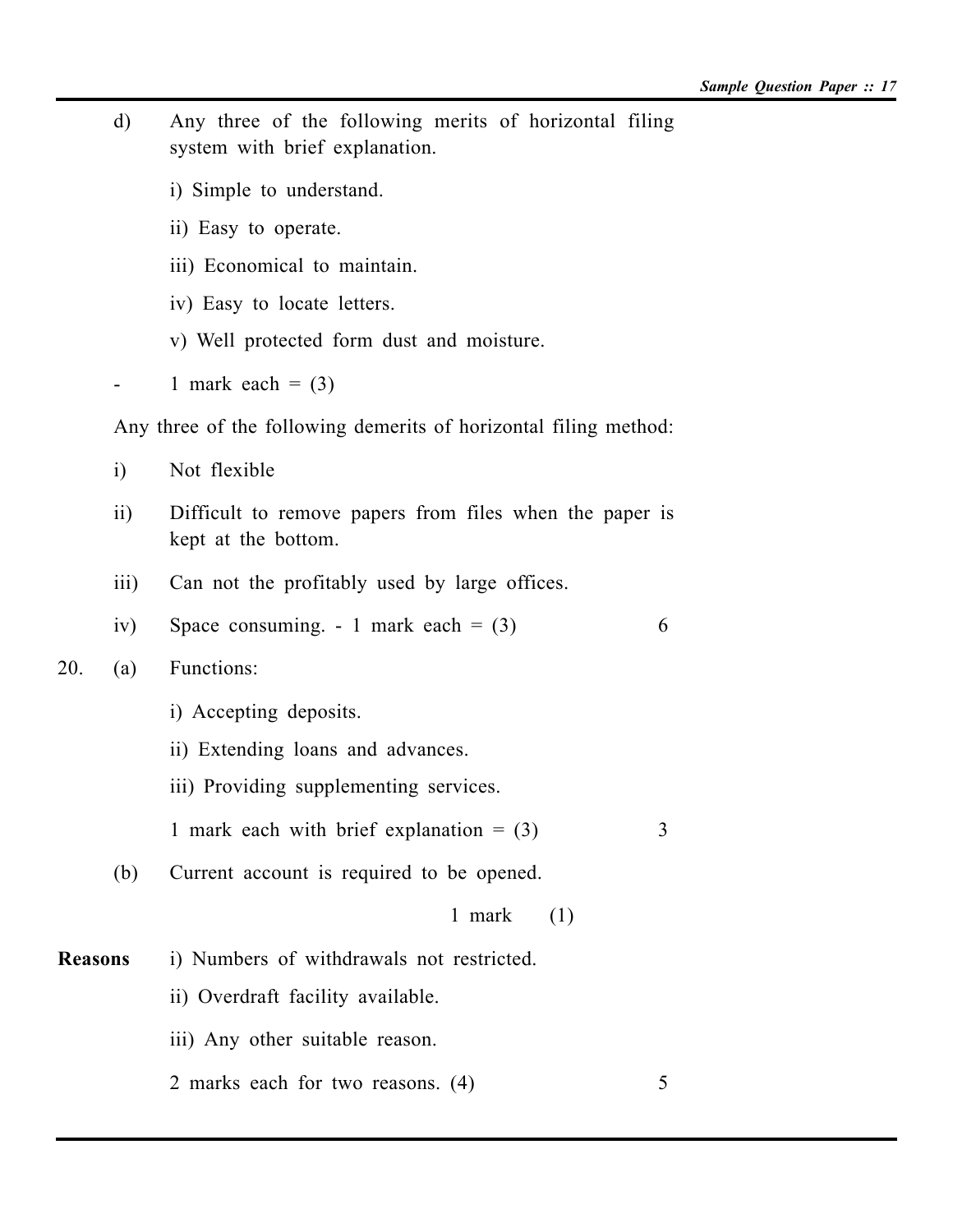- d) Any three of the following merits of horizontal filing system with brief explanation.
	- i) Simple to understand.
	- ii) Easy to operate.
	- iii) Economical to maintain.
	- iv) Easy to locate letters.
	- v) Well protected form dust and moisture.
- 1 mark each  $= (3)$

Any three of the following demerits of horizontal filing method:

- i) Not flexible
- ii) Difficult to remove papers from files when the paper is kept at the bottom.
- iii) Can not the profitably used by large offices.
- iv) Space consuming.  $-1$  mark each  $= (3)$  6
- 20. (a) Functions:
	- i) Accepting deposits.
	- ii) Extending loans and advances.
	- iii) Providing supplementing services.
	- 1 mark each with brief explanation  $= (3)$  3
	- (b) Current account is required to be opened.
		- 1 mark (1)
- **Reasons** i) Numbers of withdrawals not restricted.
	- ii) Overdraft facility available.
	- iii) Any other suitable reason.
	- 2 marks each for two reasons. (4) 5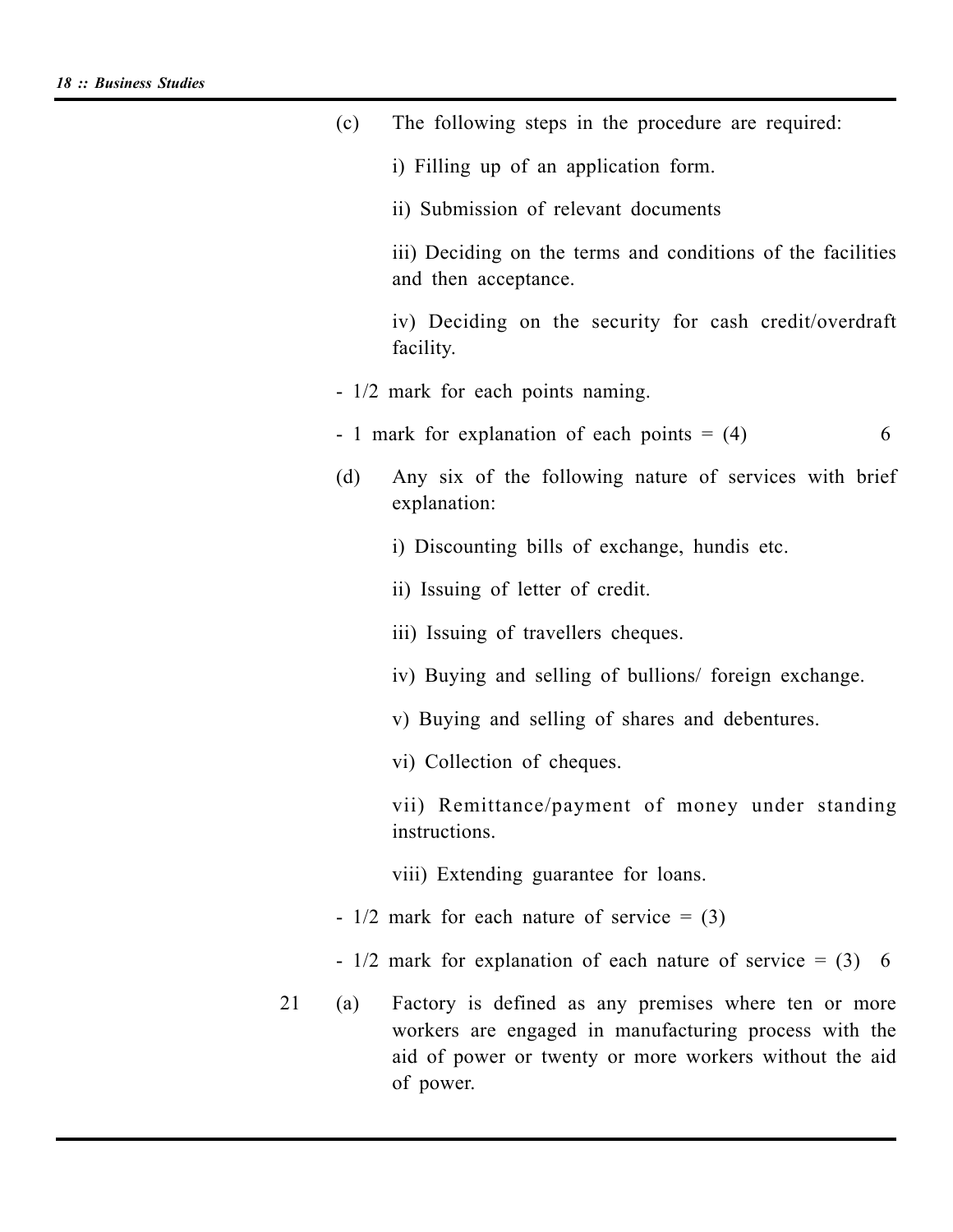|    | (c) | The following steps in the procedure are required:                                                                                                                                   |
|----|-----|--------------------------------------------------------------------------------------------------------------------------------------------------------------------------------------|
|    |     | i) Filling up of an application form.                                                                                                                                                |
|    |     | ii) Submission of relevant documents                                                                                                                                                 |
|    |     | iii) Deciding on the terms and conditions of the facilities<br>and then acceptance.                                                                                                  |
|    |     | iv) Deciding on the security for cash credit/overdraft<br>facility.                                                                                                                  |
|    |     | - 1/2 mark for each points naming.                                                                                                                                                   |
|    |     | - 1 mark for explanation of each points $= (4)$<br>6                                                                                                                                 |
|    | (d) | Any six of the following nature of services with brief<br>explanation:                                                                                                               |
|    |     | i) Discounting bills of exchange, hundis etc.                                                                                                                                        |
|    |     | ii) Issuing of letter of credit.                                                                                                                                                     |
|    |     | iii) Issuing of travellers cheques.                                                                                                                                                  |
|    |     | iv) Buying and selling of bullions/ foreign exchange.                                                                                                                                |
|    |     | v) Buying and selling of shares and debentures.                                                                                                                                      |
|    |     | vi) Collection of cheques.                                                                                                                                                           |
|    |     | vii) Remittance/payment of money under standing<br>instructions.                                                                                                                     |
|    |     | viii) Extending guarantee for loans.                                                                                                                                                 |
|    |     | - $1/2$ mark for each nature of service = (3)                                                                                                                                        |
|    |     | - $1/2$ mark for explanation of each nature of service = (3) 6                                                                                                                       |
| 21 | (a) | Factory is defined as any premises where ten or more<br>workers are engaged in manufacturing process with the<br>aid of power or twenty or more workers without the aid<br>of power. |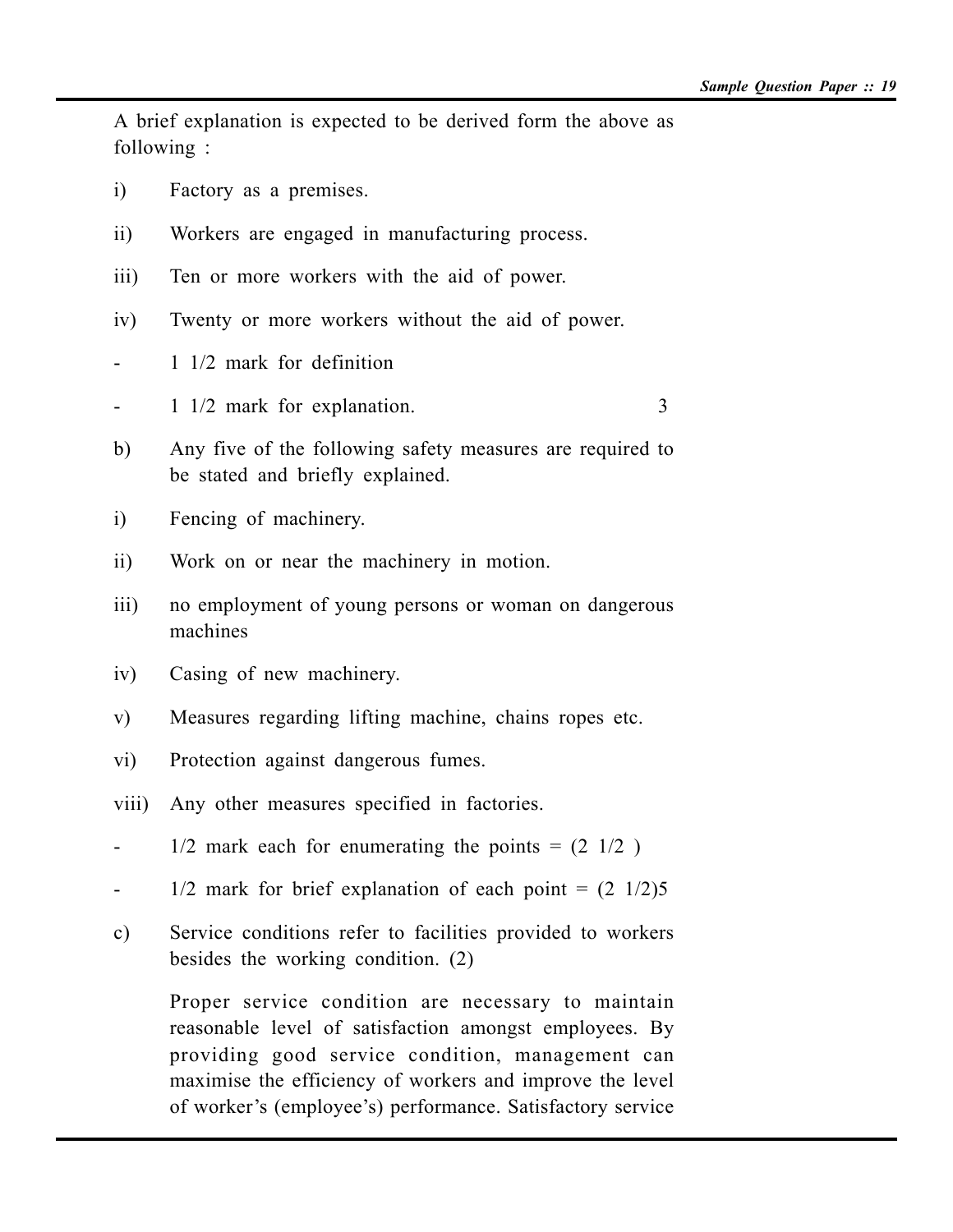A brief explanation is expected to be derived form the above as following :

- i) Factory as a premises.
- ii) Workers are engaged in manufacturing process.
- iii) Ten or more workers with the aid of power.
- iv) Twenty or more workers without the aid of power.
- 1 1/2 mark for definition
- 1 1/2 mark for explanation. 3
- b) Any five of the following safety measures are required to be stated and briefly explained.
- i) Fencing of machinery.
- ii) Work on or near the machinery in motion.
- iii) no employment of young persons or woman on dangerous machines
- iv) Casing of new machinery.
- v) Measures regarding lifting machine, chains ropes etc.
- vi) Protection against dangerous fumes.
- viii) Any other measures specified in factories.
- $1/2$  mark each for enumerating the points =  $(2 \frac{1}{2})$
- $-$  1/2 mark for brief explanation of each point =  $(2 \frac{1}{2})5$
- c) Service conditions refer to facilities provided to workers besides the working condition. (2)

Proper service condition are necessary to maintain reasonable level of satisfaction amongst employees. By providing good service condition, management can maximise the efficiency of workers and improve the level of worker's (employee's) performance. Satisfactory service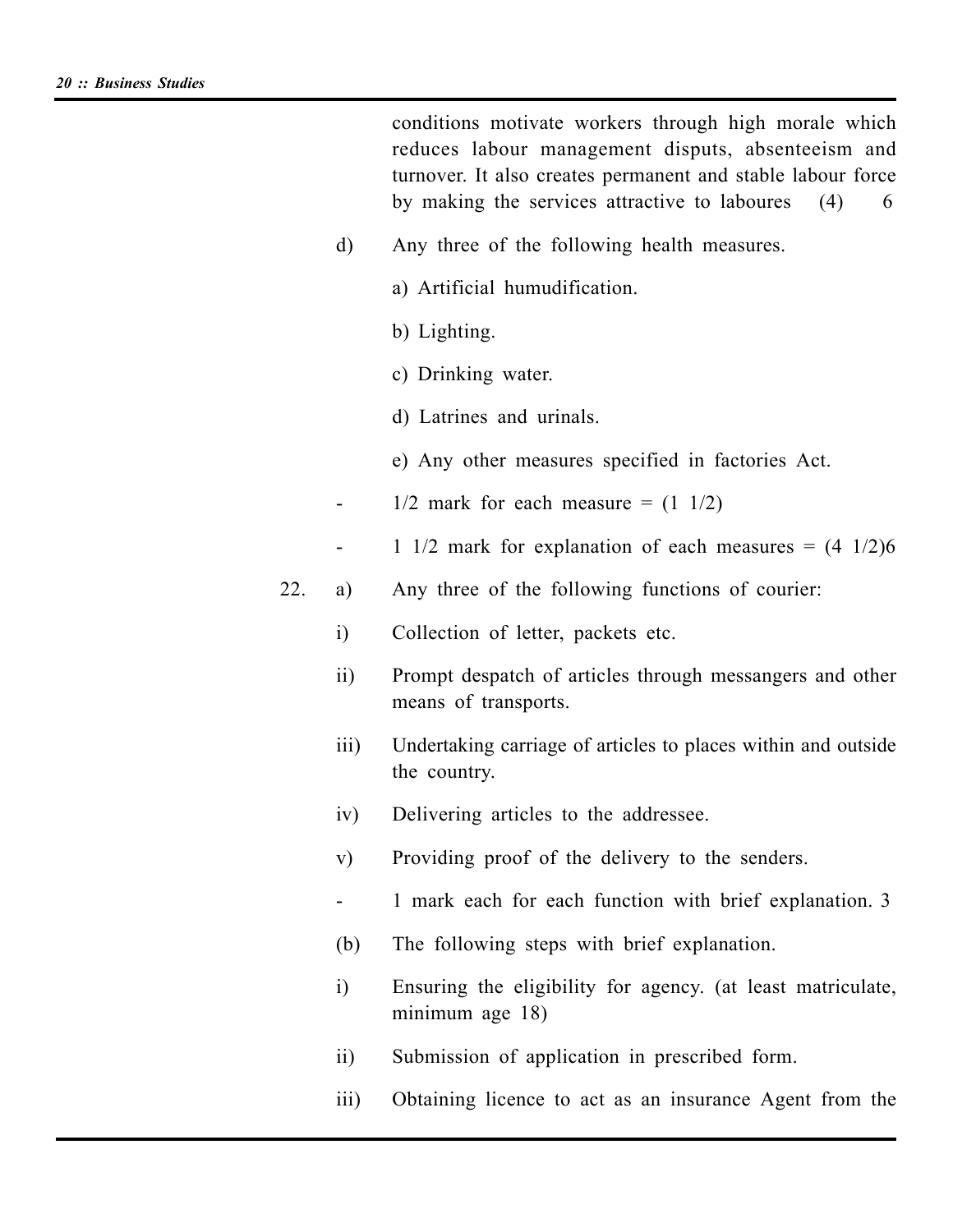conditions motivate workers through high morale which reduces labour management disputs, absenteeism and turnover. It also creates permanent and stable labour force by making the services attractive to laboures (4) 6

- d) Any three of the following health measures.
	- a) Artificial humudification.
	- b) Lighting.
	- c) Drinking water.
	- d) Latrines and urinals.
	- e) Any other measures specified in factories Act.
- $-$  1/2 mark for each measure =  $(1 \ 1/2)$
- 1 1/2 mark for explanation of each measures  $= (4 \frac{1}{2})6$
- 22. a) Any three of the following functions of courier:
	- i) Collection of letter, packets etc.
	- ii) Prompt despatch of articles through messangers and other means of transports.
	- iii) Undertaking carriage of articles to places within and outside the country.
	- iv) Delivering articles to the addressee.
	- v) Providing proof of the delivery to the senders.
	- 1 mark each for each function with brief explanation. 3
	- (b) The following steps with brief explanation.
	- i) Ensuring the eligibility for agency. (at least matriculate, minimum age 18)
	- ii) Submission of application in prescribed form.
	- iii) Obtaining licence to act as an insurance Agent from the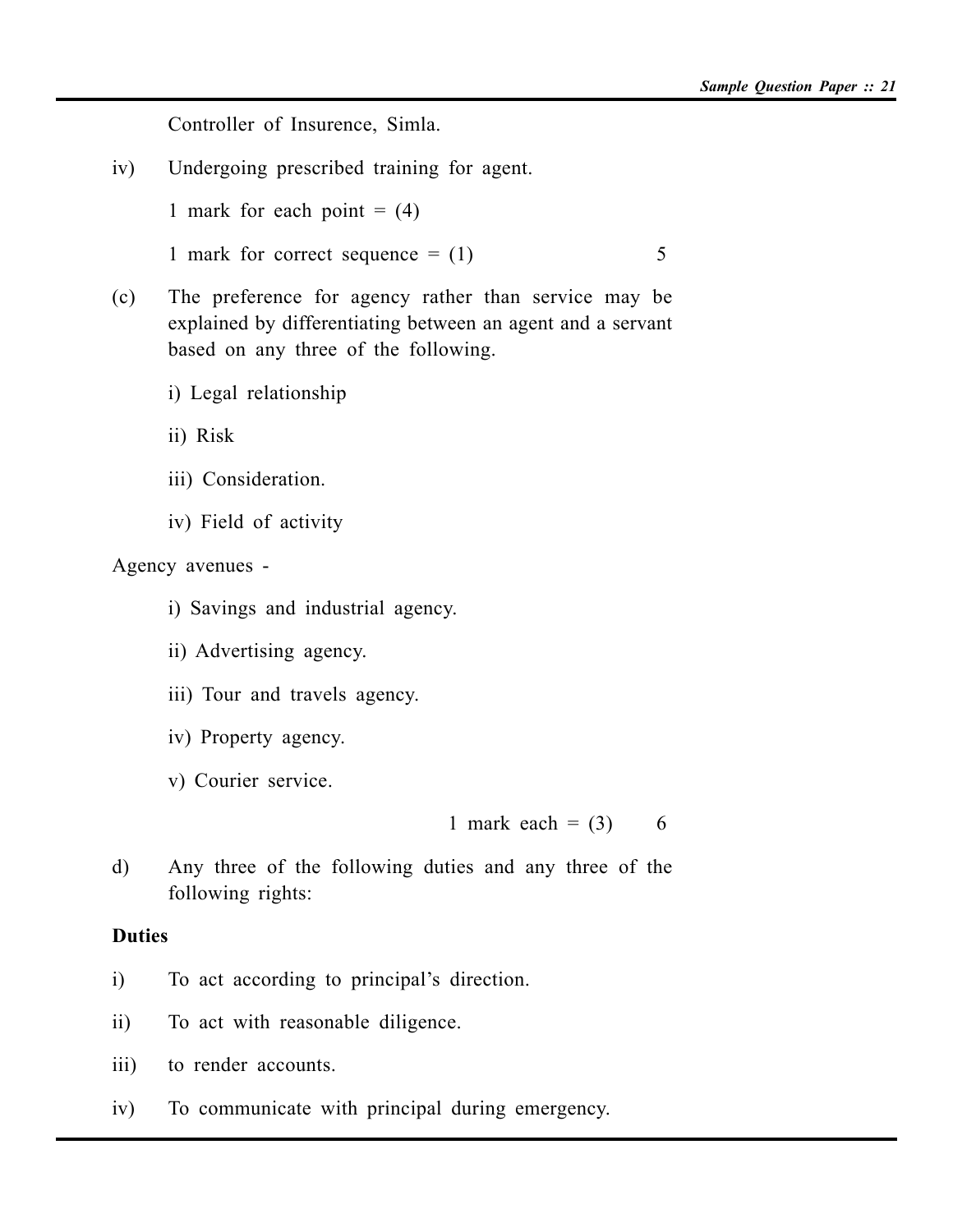Controller of Insurence, Simla.

iv) Undergoing prescribed training for agent.

1 mark for each point  $= (4)$ 

1 mark for correct sequence  $= (1)$  5

- (c) The preference for agency rather than service may be explained by differentiating between an agent and a servant based on any three of the following.
	- i) Legal relationship
	- ii) Risk
	- iii) Consideration.
	- iv) Field of activity

Agency avenues -

- i) Savings and industrial agency.
- ii) Advertising agency.
- iii) Tour and travels agency.
- iv) Property agency.
- v) Courier service.

1 mark each =  $(3)$  6

d) Any three of the following duties and any three of the following rights:

### **Duties**

- i) To act according to principal's direction.
- ii) To act with reasonable diligence.
- iii) to render accounts.
- iv) To communicate with principal during emergency.